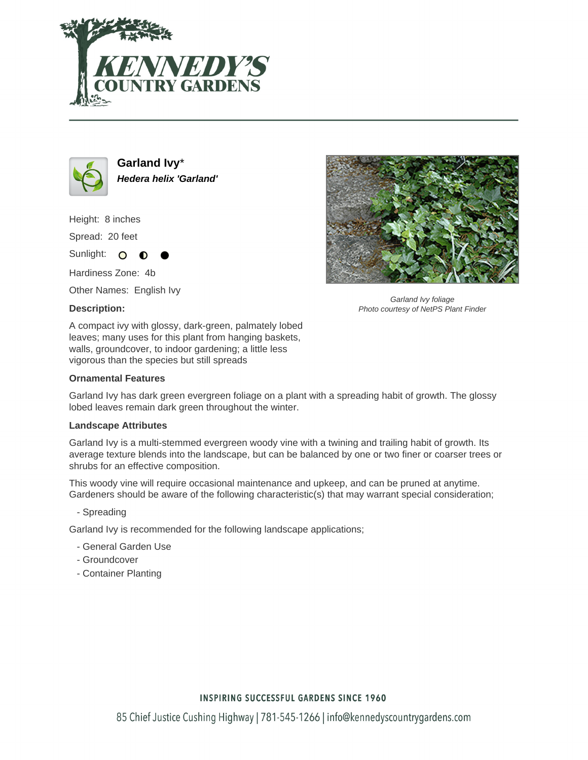



**Garland Ivy**\* **Hedera helix 'Garland'**

Height: 8 inches

Spread: 20 feet

Sunlight: O  $\bullet$ 

Hardiness Zone: 4b

Other Names: English Ivy

### **Description:**



Garland Ivy foliage Photo courtesy of NetPS Plant Finder

A compact ivy with glossy, dark-green, palmately lobed leaves; many uses for this plant from hanging baskets, walls, groundcover, to indoor gardening; a little less vigorous than the species but still spreads

### **Ornamental Features**

Garland Ivy has dark green evergreen foliage on a plant with a spreading habit of growth. The glossy lobed leaves remain dark green throughout the winter.

#### **Landscape Attributes**

Garland Ivy is a multi-stemmed evergreen woody vine with a twining and trailing habit of growth. Its average texture blends into the landscape, but can be balanced by one or two finer or coarser trees or shrubs for an effective composition.

This woody vine will require occasional maintenance and upkeep, and can be pruned at anytime. Gardeners should be aware of the following characteristic(s) that may warrant special consideration;

- Spreading

Garland Ivy is recommended for the following landscape applications;

- General Garden Use
- Groundcover
- Container Planting

# **INSPIRING SUCCESSFUL GARDENS SINCE 1960**

85 Chief Justice Cushing Highway | 781-545-1266 | info@kennedyscountrygardens.com